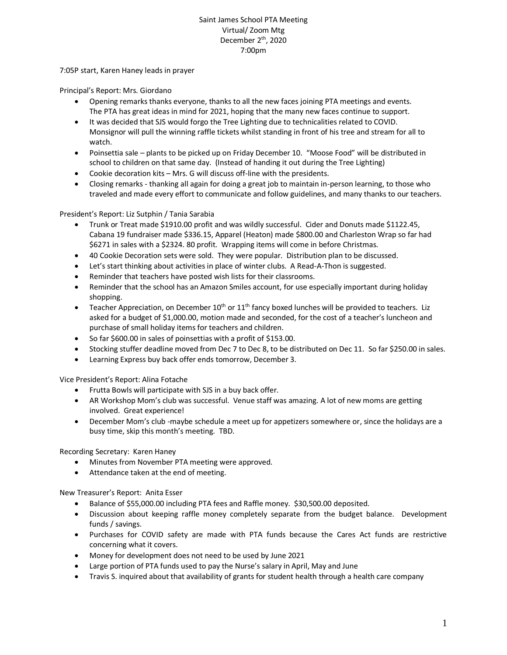## Saint James School PTA Meeting Virtual/ Zoom Mtg December 2<sup>th</sup>, 2020 7:00pm

7:05P start, Karen Haney leads in prayer

Principal's Report: Mrs. Giordano

- Opening remarks thanks everyone, thanks to all the new faces joining PTA meetings and events. The PTA has great ideas in mind for 2021, hoping that the many new faces continue to support.
- It was decided that SJS would forgo the Tree Lighting due to technicalities related to COVID. Monsignor will pull the winning raffle tickets whilst standing in front of his tree and stream for all to watch.
- Poinsettia sale plants to be picked up on Friday December 10. "Moose Food" will be distributed in school to children on that same day. (Instead of handing it out during the Tree Lighting)
- Cookie decoration kits Mrs. G will discuss off-line with the presidents.
- Closing remarks thanking all again for doing a great job to maintain in-person learning, to those who traveled and made every effort to communicate and follow guidelines, and many thanks to our teachers.

President's Report: Liz Sutphin / Tania Sarabia

- Trunk or Treat made \$1910.00 profit and was wildly successful. Cider and Donuts made \$1122.45, Cabana 19 fundraiser made \$336.15, Apparel (Heaton) made \$800.00 and Charleston Wrap so far had \$6271 in sales with a \$2324. 80 profit. Wrapping items will come in before Christmas.
- 40 Cookie Decoration sets were sold. They were popular. Distribution plan to be discussed.
- Let's start thinking about activities in place of winter clubs. A Read-A-Thon is suggested.
- Reminder that teachers have posted wish lists for their classrooms.
- Reminder that the school has an Amazon Smiles account, for use especially important during holiday shopping.
- **•** Teacher Appreciation, on December  $10^{th}$  or  $11^{th}$  fancy boxed lunches will be provided to teachers. Liz asked for a budget of \$1,000.00, motion made and seconded, for the cost of a teacher's luncheon and purchase of small holiday items for teachers and children.
- So far \$600.00 in sales of poinsettias with a profit of \$153.00.
- Stocking stuffer deadline moved from Dec 7 to Dec 8, to be distributed on Dec 11. So far \$250.00 in sales.
- Learning Express buy back offer ends tomorrow, December 3.

Vice President's Report: Alina Fotache

- Frutta Bowls will participate with SJS in a buy back offer.
- AR Workshop Mom's club was successful. Venue staff was amazing. A lot of new moms are getting involved. Great experience!
- December Mom's club -maybe schedule a meet up for appetizers somewhere or, since the holidays are a busy time, skip this month's meeting. TBD.

Recording Secretary: Karen Haney

- Minutes from November PTA meeting were approved.
- Attendance taken at the end of meeting.

New Treasurer's Report: Anita Esser

- Balance of \$55,000.00 including PTA fees and Raffle money. \$30,500.00 deposited.
- Discussion about keeping raffle money completely separate from the budget balance. Development funds / savings.
- Purchases for COVID safety are made with PTA funds because the Cares Act funds are restrictive concerning what it covers.
- Money for development does not need to be used by June 2021
- Large portion of PTA funds used to pay the Nurse's salary in April, May and June
- Travis S. inquired about that availability of grants for student health through a health care company